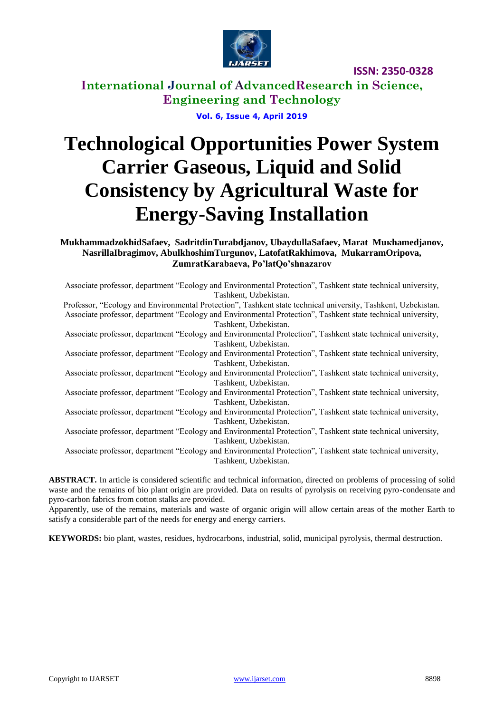

**International Journal of AdvancedResearch in Science, Engineering and Technology**

**Vol. 6, Issue 4, April 2019**

# **Technological Opportunities Power System Carrier Gaseous, Liquid and Solid Consistency by Agricultural Waste for Energy-Saving Installation**

**MukhammadzokhidSafaev, SadritdinTurabdjanov, UbaydullaSafaev, Мarat Muкhamedjanov, NasrillaIbragimov, AbulkhoshimTurgunov, LatofatRakhimova, MukarramOripova, ZumratKarabaeva, Po'latQo'shnazarov**

Associate professor, department "Ecology and Environmental Protection", Tashkent state technical university, Tashkent, Uzbekistan.

Professor, "Ecology and Environmental Protection", Tashkent state technical university, Tashkent, Uzbekistan. Associate professor, department "Ecology and Environmental Protection", Tashkent state technical university, Tashkent, Uzbekistan.

Associate professor, department "Ecology and Environmental Protection", Tashkent state technical university, Tashkent, Uzbekistan.

Associate professor, department "Ecology and Environmental Protection", Tashkent state technical university, Tashkent, Uzbekistan.

Associate professor, department "Ecology and Environmental Protection", Tashkent state technical university, Tashkent, Uzbekistan.

Associate professor, department "Ecology and Environmental Protection", Tashkent state technical university, Tashkent, Uzbekistan.

Associate professor, department "Ecology and Environmental Protection", Tashkent state technical university, Tashkent, Uzbekistan.

Associate professor, department "Ecology and Environmental Protection", Tashkent state technical university, Tashkent, Uzbekistan.

Associate professor, department "Ecology and Environmental Protection", Tashkent state technical university, Tashkent, Uzbekistan.

**ABSTRACT.** In article is considered scientific and technical information, directed on problems of processing of solid waste and the remains of bio plant origin are provided. Data on results of pyrolysis on receiving pyro-condensate and pyro-carbon fabrics from cotton stalks are provided.

Apparently, use of the remains, materials and waste of organic origin will allow certain areas of the mother Earth to satisfy a considerable part of the needs for energy and energy carriers.

**KEYWORDS:** bio plant, wastes, residues, hydrocarbons, industrial, solid, municipal pyrolysis, thermal destruction.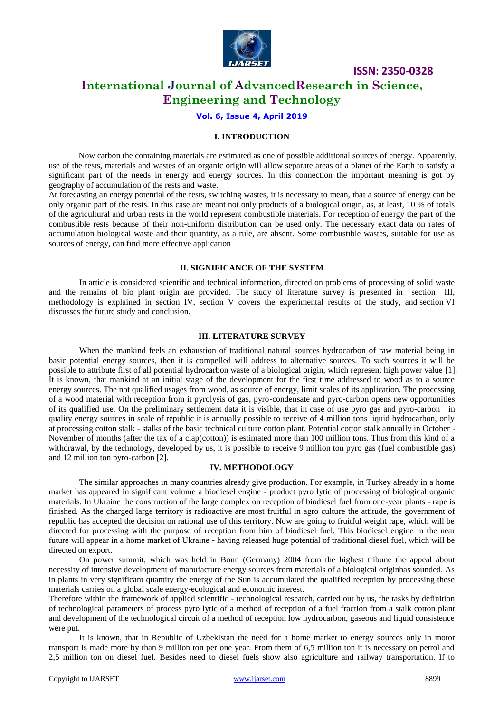

# **International Journal of AdvancedResearch in Science, Engineering and Technology**

### **Vol. 6, Issue 4, April 2019**

#### **I. INTRODUCTION**

Now carbon the containing materials are estimated as one of possible additional sources of energy. Apparently, use of the rests, materials and wastes of an organic origin will allow separate areas of a planet of the Earth to satisfy a significant part of the needs in energy and energy sources. In this connection the important meaning is got by geography of accumulation of the rests and waste.

At forecasting an energy potential of the rests, switching wastes, it is necessary to mean, that a source of energy can be only organic part of the rests. In this case are meant not only products of a biological origin, as, at least, 10 % of totals of the agricultural and urban rests in the world represent combustible materials. For reception of energy the part of the combustible rests because of their non-uniform distribution can be used only. The necessary exact data on rates of accumulation biological waste and their quantity, as a rule, are absent. Some combustible wastes, suitable for use as sources of energy, can find more effective application

#### **II. SIGNIFICANCE OF THE SYSTEM**

In article is considered scientific and technical information, directed on problems of processing of solid waste and the remains of bio plant origin are provided. The study of literature survey is presented in section III, methodology is explained in section IV, section V covers the experimental results of the study, and section VI discusses the future study and conclusion.

#### **III. LITERATURE SURVEY**

When the mankind feels an exhaustion of traditional natural sources hydrocarbon of raw material being in basic potential energy sources, then it is compelled will address to alternative sources. To such sources it will be possible to attribute first of all potential hydrocarbon waste of a biological origin, which represent high power value [1]. It is known, that mankind at an initial stage of the development for the first time addressed to wood as to a source energy sources. The not qualified usages from wood, as source of energy, limit scales of its application. The processing of a wood material with reception from it pyrolysis of gas, pyro-condensate and pyro-carbon opens new opportunities of its qualified use. On the preliminary settlement data it is visible, that in case of use pyro gas and pyro-carbon in quality energy sources in scale of republic it is annually possible to receive of 4 million tons liquid hydrocarbon, only at processing cotton stalk - stalks of the basic technical culture cotton plant. Potential cotton stalk annually in October - November of months (after the tax of a clap(cotton)) is estimated more than 100 million tons. Thus from this kind of a withdrawal, by the technology, developed by us, it is possible to receive 9 million ton pyro gas (fuel combustible gas) and 12 million ton pyro-carbon [2].

#### **IV. METHODOLOGY**

The similar approaches in many countries already give production. For example, in Turkey already in a home market has appeared in significant volume a biodiesel engine - product pyro lytic of processing of biological organic materials. In Ukraine the construction of the large complex on reception of biodiesel fuel from one-year plants - rape is finished. As the charged large territory is radioactive are most fruitful in agro culture the attitude, the government of republic has accepted the decision on rational use of this territory. Now are going to fruitful weight rape, which will be directed for processing with the purpose of reception from him of biodiesel fuel. This biodiesel engine in the near future will appear in a home market of Ukraine - having released huge potential of traditional diesel fuel, which will be directed on export.

On power summit, which was held in Bonn (Germany) 2004 from the highest tribune the appeal about necessity of intensive development of manufacture energy sources from materials of a biological originhas sounded. As in plants in very significant quantity the energy of the Sun is accumulated the qualified reception by processing these materials carries on a global scale energy-ecological and economic interest.

Therefore within the framework of applied scientific - technological research, carried out by us, the tasks by definition of technological parameters of process pyro lytic of a method of reception of a fuel fraction from a stalk cotton plant and development of the technological circuit of a method of reception low hydrocarbon, gaseous and liquid consistence were put.

It is known, that in Republic of Uzbekistan the need for a home market to energy sources only in motor transport is made more by than 9 million ton per one year. From them of 6,5 million ton it is necessary on petrol and 2,5 million ton on diesel fuel. Besides need to diesel fuels show also agriculture and railway transportation. If to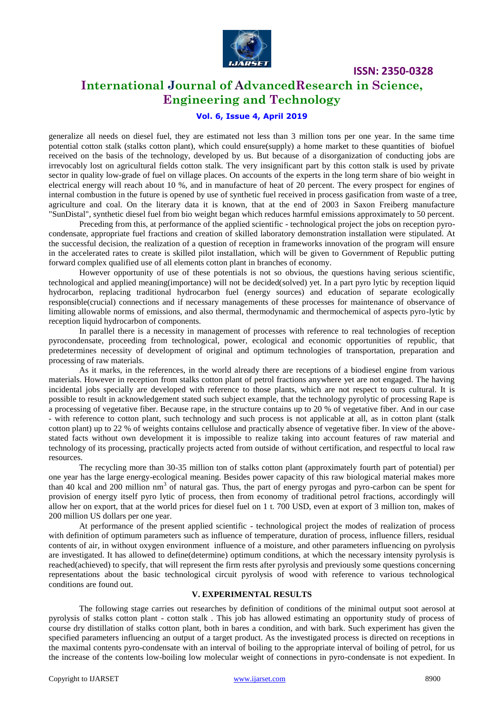

# **International Journal of AdvancedResearch in Science, Engineering and Technology**

## **Vol. 6, Issue 4, April 2019**

generalize all needs on diesel fuel, they are estimated not less than 3 million tons per one year. In the same time potential cotton stalk (stalks cotton plant), which could ensure(supply) a home market to these quantities of biofuel received on the basis of the technology, developed by us. But because of a disorganization of conducting jobs are irrevocably lost on agricultural fields cotton stalk. The very insignificant part by this cotton stalk is used by private sector in quality low-grade of fuel on village places. On accounts of the experts in the long term share of bio weight in electrical energy will reach about 10 %, and in manufacture of heat of 20 percent. The every prospect for engines of internal combustion in the future is opened by use of synthetic fuel received in process gasification from waste of a tree, agriculture and coal. On the literary data it is known, that at the end of 2003 in Saxon Freiberg manufacture "SunDistal", synthetic diesel fuel from bio weight began which reduces harmful emissions approximately to 50 percent.

Preceding from this, at performance of the applied scientific - technological project the jobs on reception pyrocondensate, appropriate fuel fractions and creation of skilled laboratory demonstration installation were stipulated. At the successful decision, the realization of a question of reception in frameworks innovation of the program will ensure in the accelerated rates to create is skilled pilot installation, which will be given to Government of Republic putting forward complex qualified use of all elements cotton plant in branches of economy.

However opportunity of use of these potentials is not so obvious, the questions having serious scientific, technological and applied meaning(importance) will not be decided(solved) yet. In a part pyro lytic by reception liquid hydrocarbon, replacing traditional hydrocarbon fuel (energy sources) and education of separate ecologically responsible(crucial) connections and if necessary managements of these processes for maintenance of observance of limiting allowable norms of emissions, and also thermal, thermodynamic and thermochemical of aspects pyro-lytic by reception liquid hydrocarbon of components.

In parallel there is a necessity in management of processes with reference to real technologies of reception pyrocondensate, proceeding from technological, power, ecological and economic opportunities of republic, that predetermines necessity of development of original and optimum technologies of transportation, preparation and processing of raw materials.

As it marks, in the references, in the world already there are receptions of a biodiesel engine from various materials. However in reception from stalks cotton plant of petrol fractions anywhere yet are not engaged. The having incidental jobs specially are developed with reference to those plants, which are not respect to ours cultural. It is possible to result in acknowledgement stated such subject example, that the technology pyrolytic of processing Rape is a processing of vegetative fiber. Because rape, in the structure contains up to 20 % of vegetative fiber. And in our case - with reference to cotton plant, such technology and such process is not applicable at all, as in cotton plant (stalk cotton plant) up to 22 % of weights contains cellulose and practically absence of vegetative fiber. In view of the abovestated facts without own development it is impossible to realize taking into account features of raw material and technology of its processing, practically projects acted from outside of without certification, and respectful to local raw resources.

The recycling more than 30-35 million ton of stalks cotton plant (approximately fourth part of potential) per one year has the large energy-ecological meaning. Besides power capacity of this raw biological material makes more than 40 kcal and 200 million  $nm<sup>3</sup>$  of natural gas. Thus, the part of energy pyrogas and pyro-carbon can be spent for provision of energy itself pyro lytic of process, then from economy of traditional petrol fractions, accordingly will allow her on export, that at the world prices for diesel fuel on 1 t. 700 USD, even at export of 3 million ton, makes of 200 million US dollars per one year.

At performance of the present applied scientific - technological project the modes of realization of process with definition of optimum parameters such as influence of temperature, duration of process, influence fillers, residual contents of air, in without oxygen environment influence of a moisture, and other parameters influencing on pyrolysis are investigated. It has allowed to define(determine) optimum conditions, at which the necessary intensity pyrolysis is reached(achieved) to specify, that will represent the firm rests after pyrolysis and previously some questions concerning representations about the basic technological circuit pyrolysis of wood with reference to various technological conditions are found out.

#### **V. EXPERIMENTAL RESULTS**

The following stage carries out researches by definition of conditions of the minimal output soot aerosol at pyrolysis of stalks cotton plant - cotton stalk . This job has allowed estimating an opportunity study of process of course dry distillation of stalks cotton plant, both in bares a condition, and with bark. Such experiment has given the specified parameters influencing an output of a target product. As the investigated process is directed on receptions in the maximal contents pyro-condensate with an interval of boiling to the appropriate interval of boiling of petrol, for us the increase of the contents low-boiling low molecular weight of connections in pyro-condensate is not expedient. In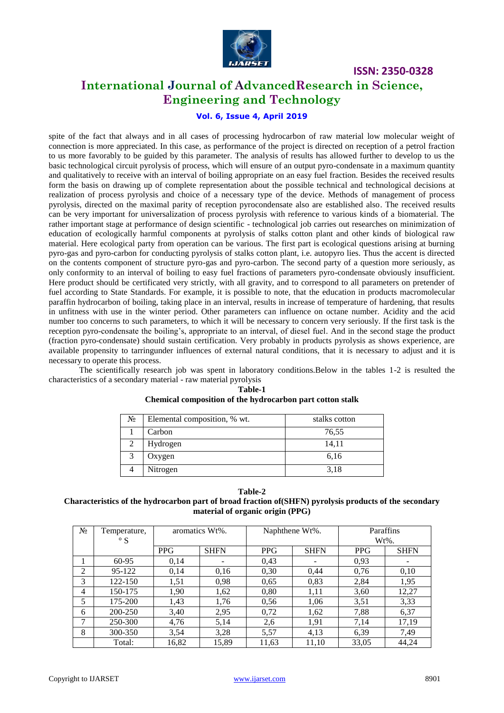

# **International Journal of AdvancedResearch in Science, Engineering and Technology**

## **Vol. 6, Issue 4, April 2019**

spite of the fact that always and in all cases of processing hydrocarbon of raw material low molecular weight of connection is more appreciated. In this case, as performance of the project is directed on reception of a petrol fraction to us more favorably to be guided by this parameter. The analysis of results has allowed further to develop to us the basic technological circuit pyrolysis of process, which will ensure of an output pyro-condensate in a maximum quantity and qualitatively to receive with an interval of boiling appropriate on an easy fuel fraction. Besides the received results form the basis on drawing up of complete representation about the possible technical and technological decisions at realization of process pyrolysis and choice of a necessary type of the device. Methods of management of process pyrolysis, directed on the maximal parity of reception pyrocondensate also are established also. The received results can be very important for universalization of process pyrolysis with reference to various kinds of a biomaterial. The rather important stage at performance of design scientific - technological job carries out researches on minimization of education of ecologically harmful components at pyrolysis of stalks cotton plant and other kinds of biological raw material. Here ecological party from operation can be various. The first part is ecological questions arising at burning pyro-gas and pyro-carbon for conducting pyrolysis of stalks cotton plant, i.e. autopyro lies. Thus the accent is directed on the contents component of structure pyro-gas and pyro-carbon. The second party of a question more seriously, as only conformity to an interval of boiling to easy fuel fractions of parameters pyro-condensate obviously insufficient. Here product should be certificated very strictly, with all gravity, and to correspond to all parameters on pretender of fuel according to State Standards. For example, it is possible to note, that the education in products macromolecular paraffin hydrocarbon of boiling, taking place in an interval, results in increase of temperature of hardening, that results in unfitness with use in the winter period. Other parameters can influence on octane number. Acidity and the acid number too concerns to such parameters, to which it will be necessary to concern very seriously. If the first task is the reception pyro-condensate the boiling's, appropriate to an interval, of diesel fuel. And in the second stage the product (fraction pyro-condensate) should sustain certification. Very probably in products pyrolysis as shows experience, are available propensity to tarringunder influences of external natural conditions, that it is necessary to adjust and it is necessary to operate this process.

The scientifically research job was spent in laboratory conditions.Below in the tables 1-2 is resulted the characteristics of a secondary material - raw material pyrolysis

| No. | Elemental composition, % wt. | stalks cotton |
|-----|------------------------------|---------------|
|     | Carbon                       | 76,55         |
| 2   | Hydrogen                     | 14,11         |
| 3   | Oxygen                       | 6,16          |
|     | Nitrogen                     | 3.18          |

#### **Table-1 Chemical composition of the hydrocarbon part cotton stalk**

#### **Table-2 Characteristics of the hydrocarbon part of broad fraction of(SHFN) pyrolysis products of the secondary material of organic origin (PPG)**

| Nº.            | Temperature,<br>$\circ$ S | aromatics Wt%. |             | Naphthene Wt%. |                 | Paraffins<br>$Wt\%$ . |             |
|----------------|---------------------------|----------------|-------------|----------------|-----------------|-----------------------|-------------|
|                |                           | <b>PPG</b>     | <b>SHFN</b> | <b>PPG</b>     | <b>SHFN</b>     | <b>PPG</b>            | <b>SHFN</b> |
|                | 60-95                     | 0.14           |             | 0.43           | $\qquad \qquad$ | 0.93                  |             |
| $\overline{2}$ | 95-122                    | 0,14           | 0.16        | 0.30           | 0,44            | 0,76                  | 0,10        |
| 3              | 122-150                   | 1,51           | 0,98        | 0.65           | 0,83            | 2,84                  | 1,95        |
| 4              | 150-175                   | 1,90           | 1,62        | 0,80           | 1,11            | 3,60                  | 12,27       |
| 5              | 175-200                   | 1,43           | 1,76        | 0.56           | 1,06            | 3,51                  | 3,33        |
| 6              | 200-250                   | 3,40           | 2,95        | 0,72           | 1,62            | 7,88                  | 6,37        |
| 7              | 250-300                   | 4,76           | 5,14        | 2,6            | 1,91            | 7,14                  | 17,19       |
| 8              | 300-350                   | 3,54           | 3,28        | 5,57           | 4,13            | 6,39                  | 7,49        |
|                | Total:                    | 16,82          | 15,89       | 11,63          | 11,10           | 33,05                 | 44,24       |